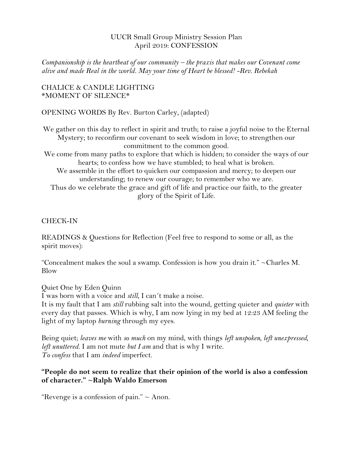#### UUCR Small Group Ministry Session Plan April 2019: CONFESSION

*Companionship is the heartbeat of our community – the praxis that makes our Covenant come alive and made Real in the world. May your time of Heart be blessed! -Rev. Rebekah*

#### CHALICE & CANDLE LIGHTING \*MOMENT OF SILENCE\*

OPENING WORDS By Rev. Burton Carley, (adapted)

We gather on this day to reflect in spirit and truth; to raise a joyful noise to the Eternal Mystery; to reconfirm our covenant to seek wisdom in love; to strengthen our commitment to the common good. We come from many paths to explore that which is hidden; to consider the ways of our hearts; to confess how we have stumbled; to heal what is broken. We assemble in the effort to quicken our compassion and mercy; to deepen our understanding; to renew our courage; to remember who we are. Thus do we celebrate the grace and gift of life and practice our faith, to the greater glory of the Spirit of Life.

## CHECK-IN

READINGS & Questions for Reflection (Feel free to respond to some or all, as the spirit moves):

"Concealment makes the soul a swamp. Confession is how you drain it." ~Charles M. Blow

Quiet One by [Eden Quinn](https://hellopoetry.com/eden_quinny/) I was born with a voice and *still*, I can´t make a noise.

It is my fault that I am *still* rubbing salt into the wound, getting quieter and *quieter* with every day that passes. Which is why, I am now lying in my bed at 12:23 AM feeling the light of my laptop *burning* through my eyes.

Being quiet; *leaves me* with *so much* on my mind, with things *left unspoken, left unexpressed, left unuttered*. I am not mute *but I am* and that is why I write. *To confess* that I am *indeed* imperfect.

## **"People do not seem to realize that their opinion of the world is also a confession of character." ~Ralph Waldo Emerson**

"Revenge is a confession of pain."  $\sim$  Anon.